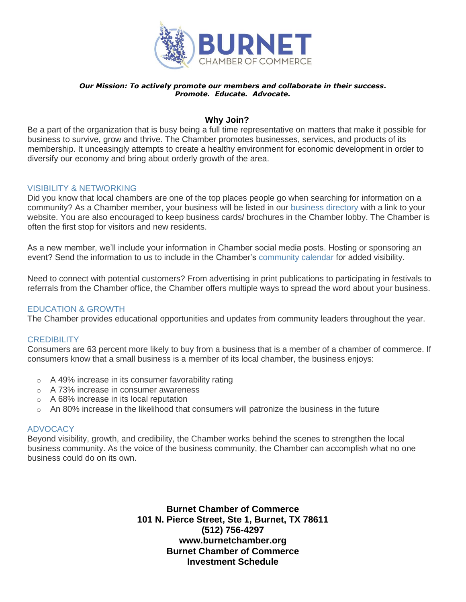

#### *Our Mission: To actively promote our members and collaborate in their success. Promote. Educate. Advocate.*

## **Why Join?**

Be a part of the organization that is busy being a full time representative on matters that make it possible for business to survive, grow and thrive. The Chamber promotes businesses, services, and products of its membership. It unceasingly attempts to create a healthy environment for economic development in order to diversify our economy and bring about orderly growth of the area.

## VISIBILITY & NETWORKING

Did you know that local chambers are one of the top places people go when searching for information on a community? As a Chamber member, your business will be listed in our [business](https://business.georgetownchamber.org/list/) directory with a link to your website. You are also encouraged to keep business cards/ brochures in the Chamber lobby. The Chamber is often the first stop for visitors and new residents.

As a new member, we'll include your information in Chamber social media posts. Hosting or sponsoring an event? Send the information to us to include in the Chamber's [community calendar](http://business.gainesvillechamber.com/events) for added visibility.

Need to connect with potential customers? From advertising in print publications to participating in festivals to referrals from the Chamber office, the Chamber offers multiple ways to spread the word about your business.

### EDUCATION & GROWTH

The Chamber provides educational opportunities and updates from community leaders throughout the year.

### **CREDIBILITY**

Consumers are 63 percent more likely to buy from a business that is a member of a chamber of commerce. If consumers know that a small business is a member of its local chamber, the business enjoys:

- o A 49% increase in its consumer favorability rating
- o A 73% increase in consumer awareness
- o A 68% increase in its local reputation
- $\circ$  An 80% increase in the likelihood that consumers will patronize the business in the future

### **ADVOCACY**

Beyond visibility, growth, and credibility, the Chamber works behind the scenes to strengthen the local business community. As the voice of the business community, the Chamber can accomplish what no one business could do on its own.

> **Burnet Chamber of Commerce 101 N. Pierce Street, Ste 1, Burnet, TX 78611 (512) 756-4297 www.burnetchamber.org Burnet Chamber of Commerce Investment Schedule**